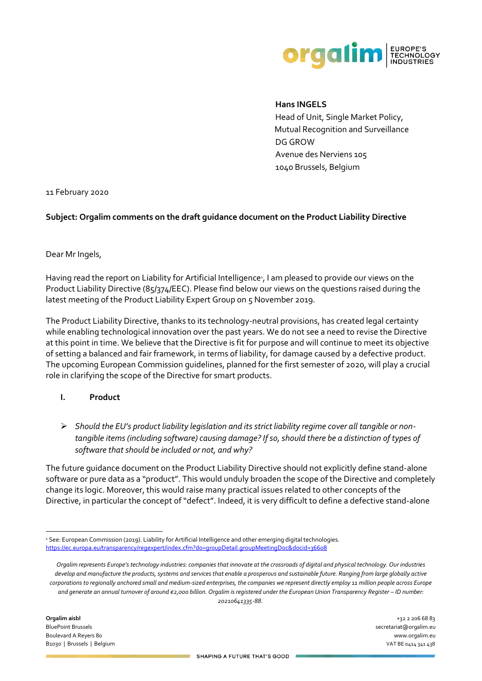

### **Hans INGELS**

Head of Unit, Single Market Policy, Mutual Recognition and Surveillance DG GROW Avenue des Nerviens 105 1040 Brussels, Belgium

11 February 2020

### **Subject: Orgalim comments on the draft guidance document on the Product Liability Directive**

Dear Mr Ingels,

Having read the report on Liability for Artificial Intelligence<sup>1</sup>, I am pleased to provide our views on the Product Liability Directive (85/374/EEC). Please find below our views on the questions raised during the latest meeting of the Product Liability Expert Group on 5 November 2019.

The Product Liability Directive, thanks to its technology-neutral provisions, has created legal certainty while enabling technological innovation over the past years. We do not see a need to revise the Directive at this point in time. We believe that the Directive is fit for purpose and will continue to meet its objective of setting a balanced and fair framework, in terms of liability, for damage caused by a defective product. The upcoming European Commission guidelines, planned for the first semester of 2020, will play a crucial role in clarifying the scope of the Directive for smart products.

#### **I. Product**

➢ *Should the EU's product liability legislation and its strict liability regime cover all tangible or nontangible items (including software) causing damage? If so, should there be a distinction of types of software that should be included or not, and why?*

The future guidance document on the Product Liability Directive should not explicitly define stand-alone software or pure data as a "product". This would unduly broaden the scope of the Directive and completely change its logic. Moreover, this would raise many practical issues related to other concepts of the Directive, in particular the concept of "defect". Indeed, it is very difficult to define a defective stand-alone

<sup>1</sup> See: European Commission (2019). Liability for Artificial Intelligence and other emerging digital technologies. <https://ec.europa.eu/transparency/regexpert/index.cfm?do=groupDetail.groupMeetingDoc&docid=36608>

*Orgalim represents Europe's technology industries: companies that innovate at the crossroads of digital and physical technology. Our industries develop and manufacture the products, systems and services that enable a prosperous and sustainable future. Ranging from large globally active corporations to regionally anchored small and medium-sized enterprises, the companies we represent directly employ 11 million people across Europe and generate an annual turnover of around €2,000 billion. Orgalim is registered under the European Union Transparency Register – ID number: 20210641335-88.*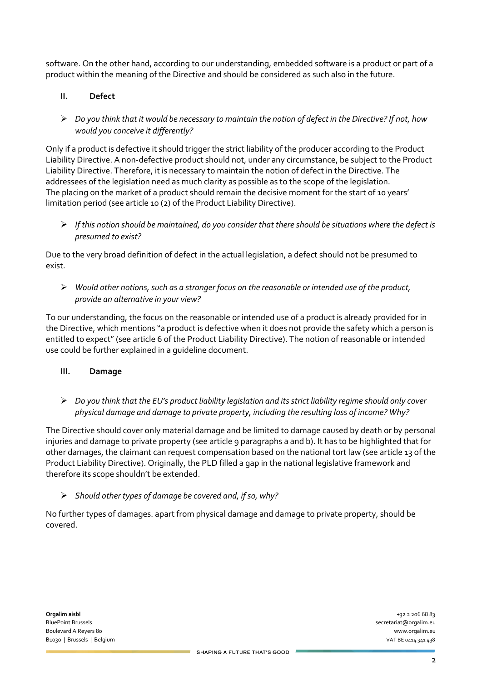software. On the other hand, according to our understanding, embedded software is a product or part of a product within the meaning of the Directive and should be considered as such also in the future.

# **II. Defect**

➢ *Do you think that it would be necessary to maintain the notion of defect in the Directive? If not, how would you conceive it differently?*

Only if a product is defective it should trigger the strict liability of the producer according to the Product Liability Directive. A non-defective product should not, under any circumstance, be subject to the Product Liability Directive. Therefore, it is necessary to maintain the notion of defect in the Directive. The addressees of the legislation need as much clarity as possible as to the scope of the legislation. The placing on the market of a product should remain the decisive moment for the start of 10 years' limitation period (see article 10 (2) of the Product Liability Directive).

➢ *If this notion should be maintained, do you consider that there should be situations where the defect is presumed to exist?*

Due to the very broad definition of defect in the actual legislation, a defect should not be presumed to exist.

➢ *Would other notions, such as a stronger focus on the reasonable or intended use of the product, provide an alternative in your view?*

To our understanding, the focus on the reasonable or intended use of a product is already provided for in the Directive, which mentions "a product is defective when it does not provide the safety which a person is entitled to expect" (see article 6 of the Product Liability Directive). The notion of reasonable or intended use could be further explained in a guideline document.

## **III. Damage**

➢ *Do you think that the EU's product liability legislation and its strict liability regime should only cover physical damage and damage to private property, including the resulting loss of income? Why?*

The Directive should cover only material damage and be limited to damage caused by death or by personal injuries and damage to private property (see article 9 paragraphs a and b). It has to be highlighted that for other damages, the claimant can request compensation based on the national tort law (see article 13 of the Product Liability Directive). Originally, the PLD filled a gap in the national legislative framework and therefore its scope shouldn't be extended.

## ➢ *Should other types of damage be covered and, if so, why?*

No further types of damages. apart from physical damage and damage to private property, should be covered.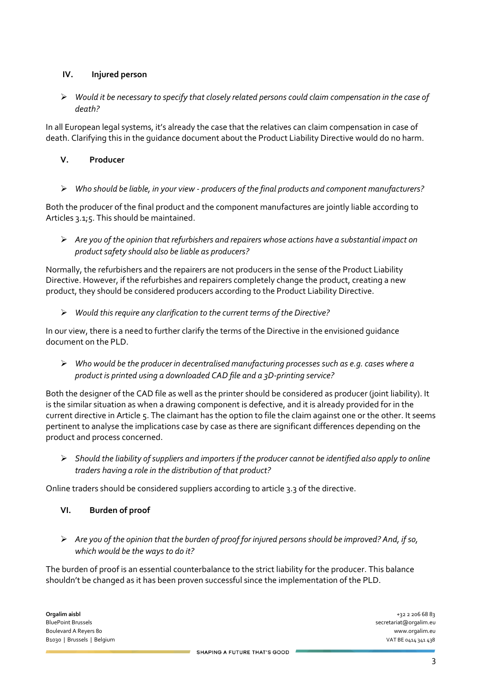## **IV. Injured person**

➢ *Would it be necessary to specify that closely related persons could claim compensation in the case of death?*

In all European legal systems, it's already the case that the relatives can claim compensation in case of death. Clarifying this in the guidance document about the Product Liability Directive would do no harm.

## **V. Producer**

➢ *Who should be liable, in your view - producers of the final products and component manufacturers?*

Both the producer of the final product and the component manufactures are jointly liable according to Articles 3.1;5. This should be maintained.

➢ *Are you of the opinion that refurbishers and repairers whose actions have a substantial impact on product safety should also be liable as producers?*

Normally, the refurbishers and the repairers are not producers in the sense of the Product Liability Directive. However, if the refurbishes and repairers completely change the product, creating a new product, they should be considered producers according to the Product Liability Directive.

➢ *Would this require any clarification to the current terms of the Directive?*

In our view, there is a need to further clarify the terms of the Directive in the envisioned guidance document on the PLD.

➢ *Who would be the producer in decentralised manufacturing processes such as e.g. cases where a product is printed using a downloaded CAD file and a 3D-printing service?*

Both the designer of the CAD file as well as the printer should be considered as producer (joint liability). It is the similar situation as when a drawing component is defective, and it is already provided for in the current directive in Article 5. The claimant has the option to file the claim against one or the other. It seems pertinent to analyse the implications case by case as there are significant differences depending on the product and process concerned.

➢ *Should the liability of suppliers and importers if the producer cannot be identified also apply to online traders having a role in the distribution of that product?*

Online traders should be considered suppliers according to article 3.3 of the directive.

- **VI. Burden of proof**
- ➢ *Are you of the opinion that the burden of proof for injured persons should be improved? And, if so, which would be the ways to do it?*

The burden of proof is an essential counterbalance to the strict liability for the producer. This balance shouldn't be changed as it has been proven successful since the implementation of the PLD.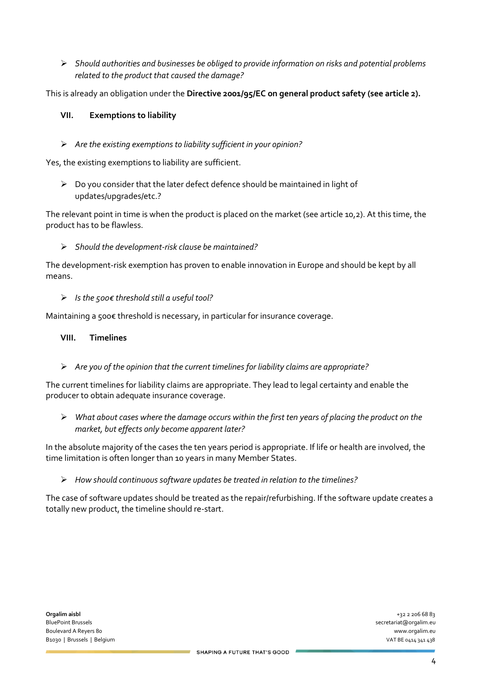➢ *Should authorities and businesses be obliged to provide information on risks and potential problems related to the product that caused the damage?*

This is already an obligation under the **Directive 2001/95/EC on general product safety (see article 2).** 

## **VII. Exemptions to liability**

➢ *Are the existing exemptions to liability sufficient in your opinion?*

Yes, the existing exemptions to liability are sufficient.

➢ Do you consider that the later defect defence should be maintained in light of updates/upgrades/etc.?

The relevant point in time is when the product is placed on the market (see article 10,2). At this time, the product has to be flawless.

### ➢ *Should the development-risk clause be maintained?*

The development-risk exemption has proven to enable innovation in Europe and should be kept by all means.

### ➢ *Is the 500€ threshold still a useful tool?*

Maintaining a 500€ threshold is necessary, in particular for insurance coverage.

### **VIII. Timelines**

➢ *Are you of the opinion that the current timelines for liability claims are appropriate?*

The current timelines for liability claims are appropriate. They lead to legal certainty and enable the producer to obtain adequate insurance coverage.

➢ *What about cases where the damage occurs within the first ten years of placing the product on the market, but effects only become apparent later?*

In the absolute majority of the cases the ten years period is appropriate. If life or health are involved, the time limitation is often longer than 10 years in many Member States.

➢ *How should continuous software updates be treated in relation to the timelines?*

The case of software updates should be treated as the repair/refurbishing. If the software update creates a totally new product, the timeline should re-start.